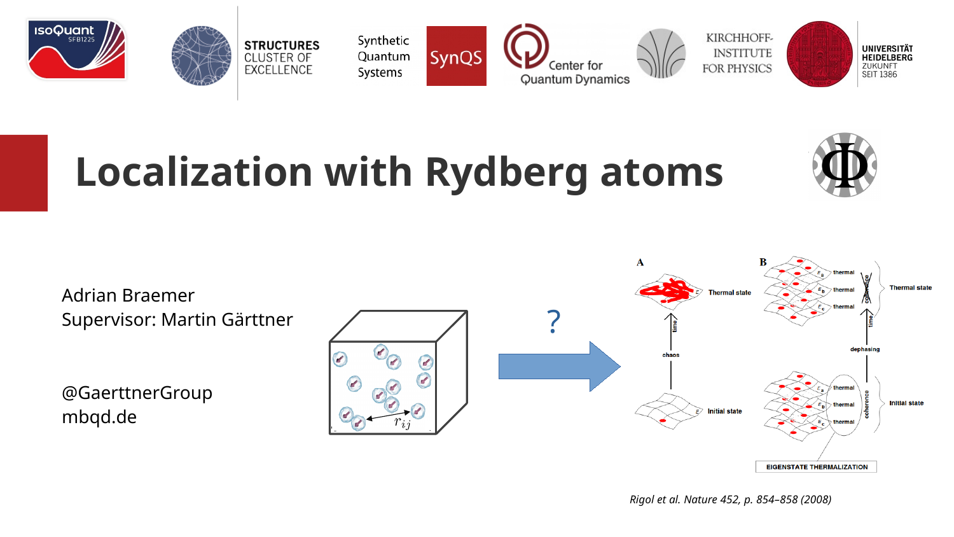



Synthetic Quantum Systems



KIRCHHOFF-**INSTITUTE** FOR PHYSICS



# **Localization with Rydberg atoms**

Adrian Braemer Supervisor: Martin Gärttner

@GaerttnerGroup mbqd.de



*Rigol et al. Nature 452, p. 854–858 (2008)*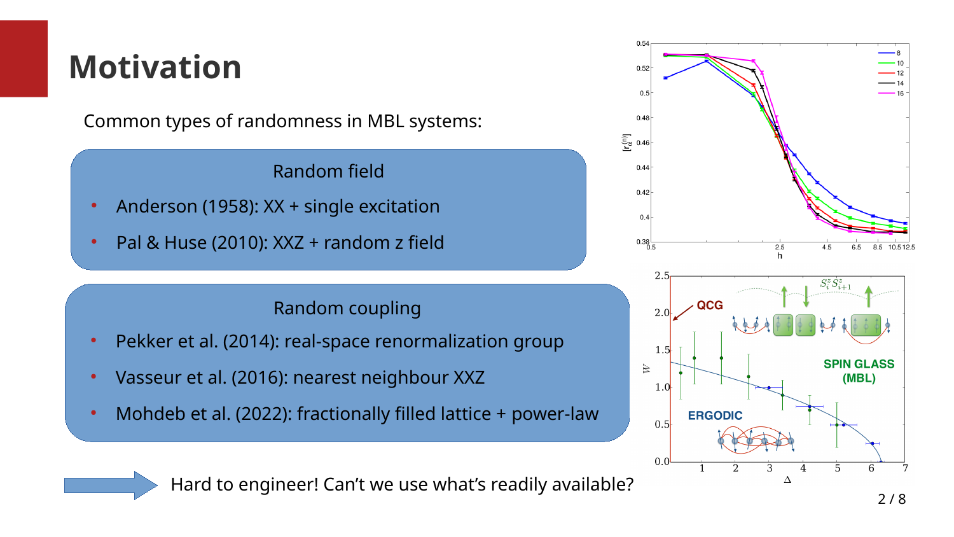## **Motivation**

Common types of randomness in MBL systems:

#### Random field

- Anderson (1958):  $XX +$  single excitation
- Pal & Huse (2010):  $XXZ$  + random z field

#### Random coupling

- Pekker et al. (2014): real-space renormalization group
- Vasseur et al. (2016): nearest neighbour XXZ
- Mohdeb et al. (2022): fractionally filled lattice + power-law





Hard to engineer! Can't we use what's readily available?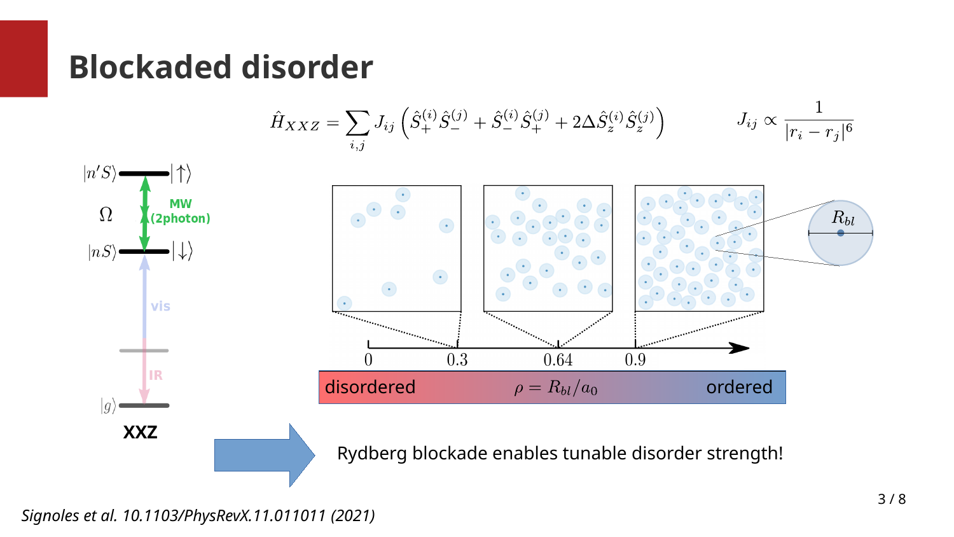#### **Blockaded disorder**



Rydberg blockade enables tunable disorder strength!

*Signoles et al. 10.1103/PhysRevX.11.011011 (2021)*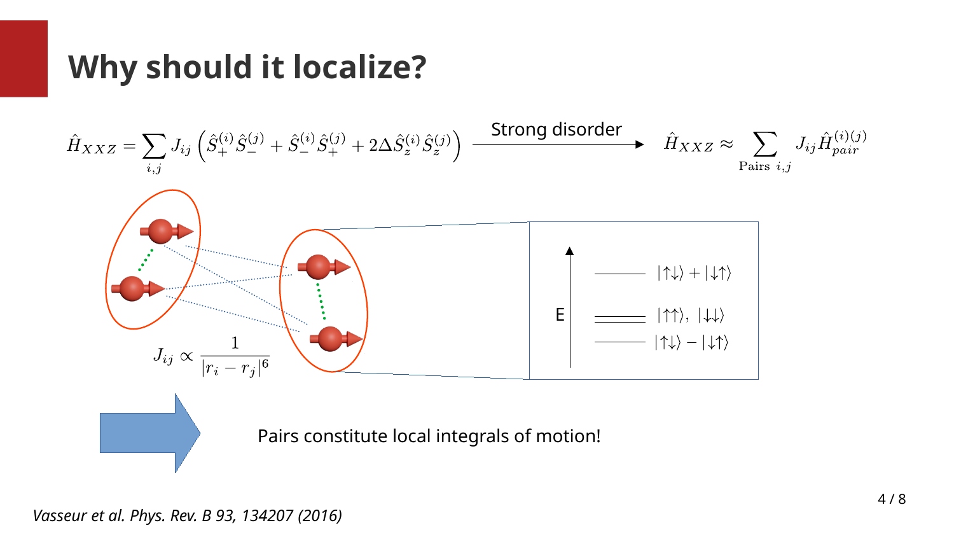### **Why should it localize?**



*Vasseur et al. Phys. Rev. B 93, 134207 (2016)*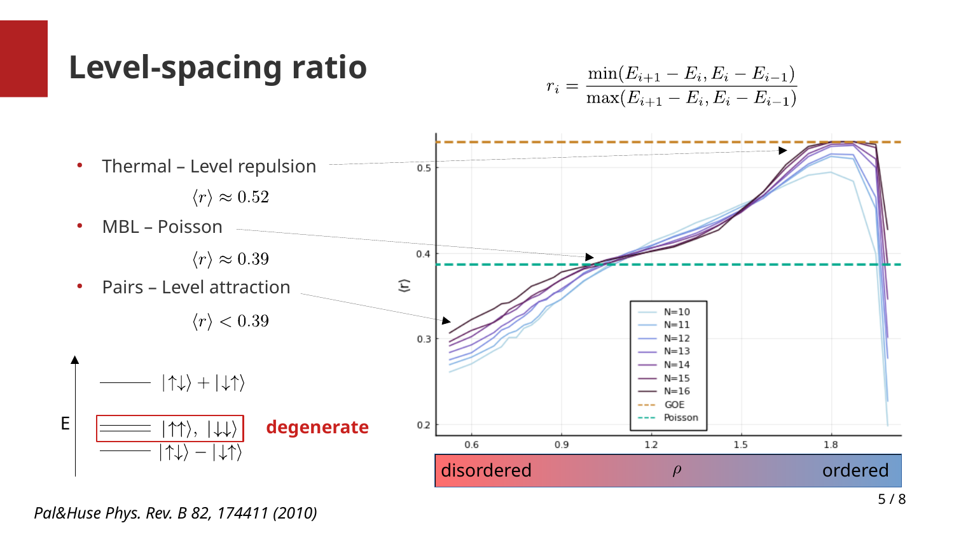#### **Level-spacing ratio**





*Pal&Huse Phys. Rev. B 82, 174411 (2010)*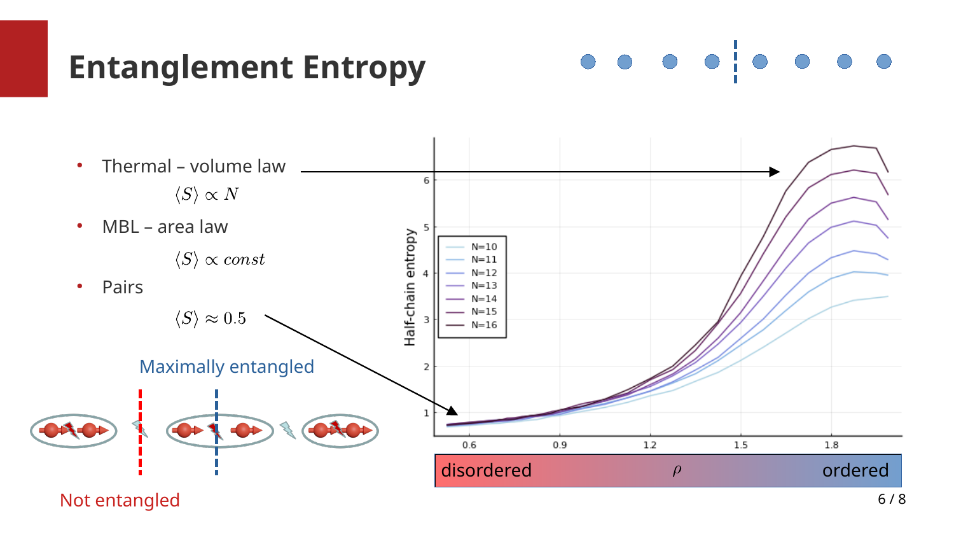### **Entanglement Entropy**

 $\begin{array}{c|c|c|c|c|c} \hline \circ & \circ & \circ & \circ & \circ \end{array}$ 



Not entangled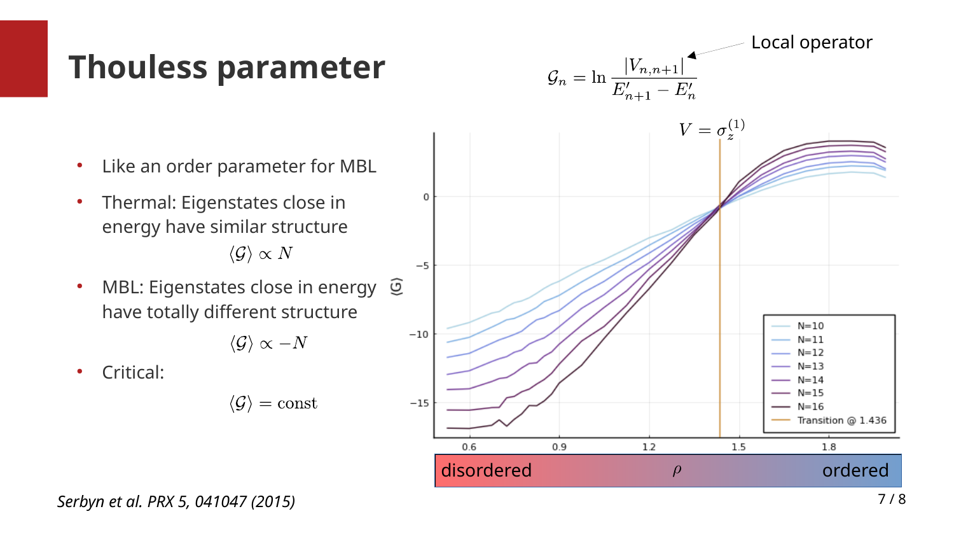#### **Thouless parameter**

- Like an order parameter for MBL
- Thermal: Eigenstates close in energy have similar structure  $\langle \mathcal{G} \rangle \propto N$
- MBL: Eigenstates close in energy  $\mathcal{\mathcal{Q}}$ have totally different structure

$$
\langle \mathcal{G} \rangle \propto -N
$$

0

 $-5$ 

 $-10$ 

 $-15$ 

• Critical:

$$
\langle \mathcal{G} \rangle = \text{const}
$$



*Serbyn et al. PRX 5, 041047 (2015)*